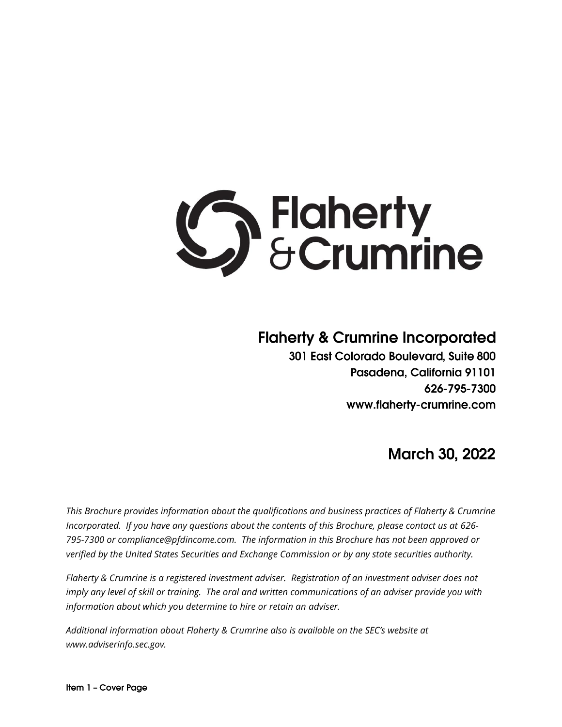

# **Flaherty & Crumrine Incorporated**

301 East Colorado Boulevard, Suite 800 Pasadena, California 91101 626-795-7300 www.flaherty-crumrine.com

# **March 30, 2022**

*This Brochure provides information about the qualifications and business practices of Flaherty & Crumrine Incorporated. If you have any questions about the contents of this Brochure, please contact us at 626- 795-7300 or compliance@pfdincome.com. The information in this Brochure has not been approved or verified by the United States Securities and Exchange Commission or by any state securities authority.*

*Flaherty & Crumrine is a registered investment adviser. Registration of an investment adviser does not imply any level of skill or training. The oral and written communications of an adviser provide you with information about which you determine to hire or retain an adviser.* 

*Additional information about Flaherty & Crumrine also is available on the SEC's website at [www.adviserinfo.sec.gov.](http://www.adviserinfo.sec.gov/)*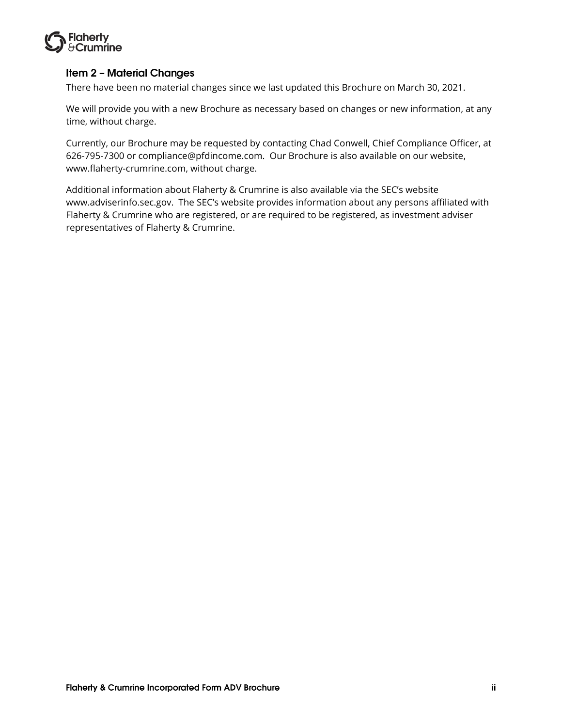

# <span id="page-1-0"></span>**Item 2 - Material Changes**

There have been no material changes since we last updated this Brochure on March 30, 2021.

We will provide you with a new Brochure as necessary based on changes or new information, at any time, without charge.

Currently, our Brochure may be requested by contacting Chad Conwell, Chief Compliance Officer, at 626-795-7300 or compliance@pfdincome.com. Our Brochure is also available on our website, www.flaherty-crumrine.com, without charge.

Additional information about Flaherty & Crumrine is also available via the SEC's website www.adviserinfo.sec.gov. The SEC's website provides information about any persons affiliated with Flaherty & Crumrine who are registered, or are required to be registered, as investment adviser representatives of Flaherty & Crumrine.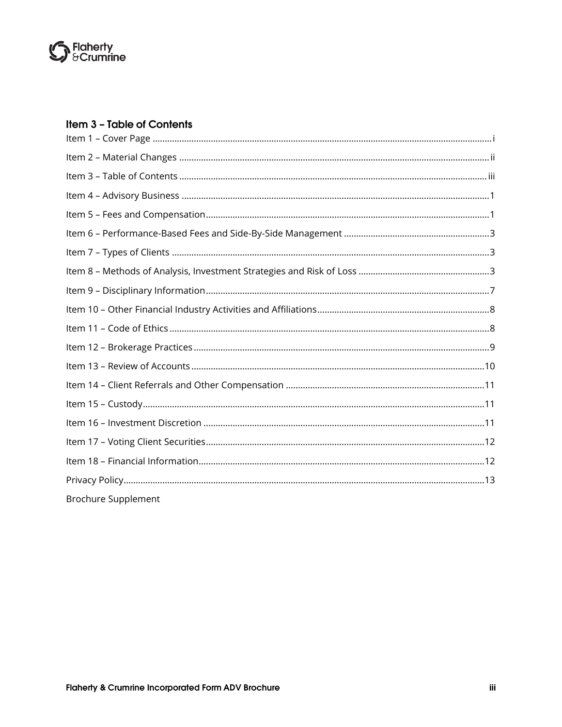

# <span id="page-2-0"></span>Item 3 - Table of Contents

| <b>Brochure Supplement</b> |
|----------------------------|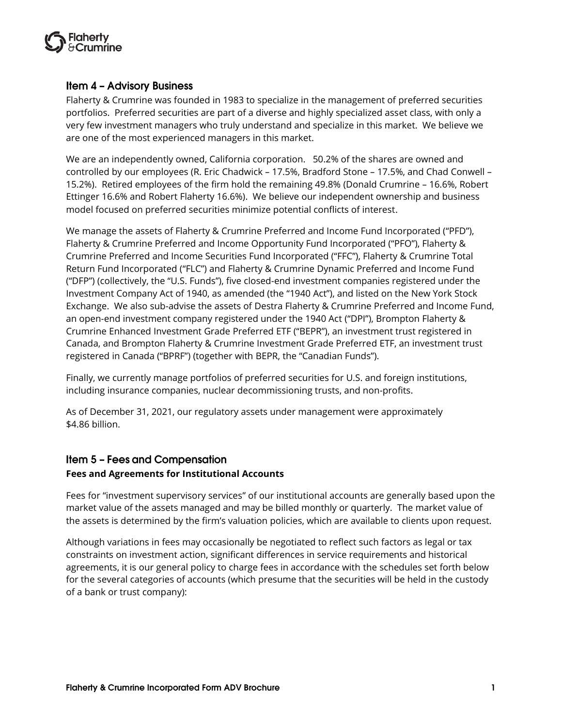

### <span id="page-3-0"></span>**Item 4 - Advisory Business**

Flaherty & Crumrine was founded in 1983 to specialize in the management of preferred securities portfolios. Preferred securities are part of a diverse and highly specialized asset class, with only a very few investment managers who truly understand and specialize in this market. We believe we are one of the most experienced managers in this market.

We are an independently owned, California corporation. 50.2% of the shares are owned and controlled by our employees (R. Eric Chadwick – 17.5%, Bradford Stone – 17.5%, and Chad Conwell – 15.2%). Retired employees of the firm hold the remaining 49.8% (Donald Crumrine – 16.6%, Robert Ettinger 16.6% and Robert Flaherty 16.6%). We believe our independent ownership and business model focused on preferred securities minimize potential conflicts of interest.

We manage the assets of Flaherty & Crumrine Preferred and Income Fund Incorporated ("PFD"), Flaherty & Crumrine Preferred and Income Opportunity Fund Incorporated ("PFO"), Flaherty & Crumrine Preferred and Income Securities Fund Incorporated ("FFC"), Flaherty & Crumrine Total Return Fund Incorporated ("FLC") and Flaherty & Crumrine Dynamic Preferred and Income Fund ("DFP") (collectively, the "U.S. Funds"), five closed-end investment companies registered under the Investment Company Act of 1940, as amended (the "1940 Act"), and listed on the New York Stock Exchange. We also sub-advise the assets of Destra Flaherty & Crumrine Preferred and Income Fund, an open-end investment company registered under the 1940 Act ("DPI"), Brompton Flaherty & Crumrine Enhanced Investment Grade Preferred ETF ("BEPR"), an investment trust registered in Canada, and Brompton Flaherty & Crumrine Investment Grade Preferred ETF, an investment trust registered in Canada ("BPRF") (together with BEPR, the "Canadian Funds").

Finally, we currently manage portfolios of preferred securities for U.S. and foreign institutions, including insurance companies, nuclear decommissioning trusts, and non-profits.

As of December 31, 2021, our regulatory assets under management were approximately \$4.86 billion.

# <span id="page-3-1"></span>**Item 5 - Fees and Compensation**

#### **Fees and Agreements for Institutional Accounts**

Fees for "investment supervisory services" of our institutional accounts are generally based upon the market value of the assets managed and may be billed monthly or quarterly. The market value of the assets is determined by the firm's valuation policies, which are available to clients upon request.

Although variations in fees may occasionally be negotiated to reflect such factors as legal or tax constraints on investment action, significant differences in service requirements and historical agreements, it is our general policy to charge fees in accordance with the schedules set forth below for the several categories of accounts (which presume that the securities will be held in the custody of a bank or trust company):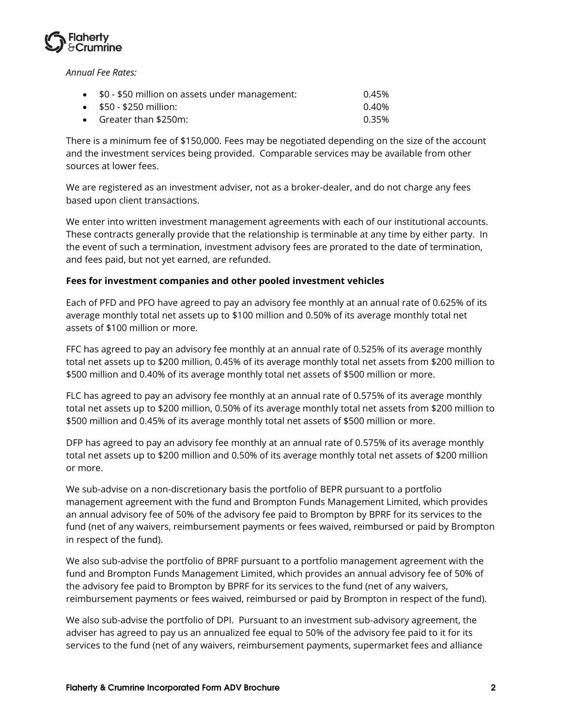

*Annual Fee Rates:*

| • \$0 - \$50 million on assets under management: | 0.45% |
|--------------------------------------------------|-------|
| $\bullet$ \$50 - \$250 million:                  | 0.40% |
| • Greater than $$250m$ :                         | 0.35% |

There is a minimum fee of \$150,000. Fees may be negotiated depending on the size of the account and the investment services being provided. Comparable services may be available from other sources at lower fees.

We are registered as an investment adviser, not as a broker-dealer, and do not charge any fees based upon client transactions.

We enter into written investment management agreements with each of our institutional accounts. These contracts generally provide that the relationship is terminable at any time by either party. In the event of such a termination, investment advisory fees are prorated to the date of termination, and fees paid, but not yet earned, are refunded.

#### **Fees for investment companies and other pooled investment vehicles**

Each of PFD and PFO have agreed to pay an advisory fee monthly at an annual rate of 0.625% of its average monthly total net assets up to \$100 million and 0.50% of its average monthly total net assets of \$100 million or more.

FFC has agreed to pay an advisory fee monthly at an annual rate of 0.525% of its average monthly total net assets up to \$200 million, 0.45% of its average monthly total net assets from \$200 million to \$500 million and 0.40% of its average monthly total net assets of \$500 million or more.

FLC has agreed to pay an advisory fee monthly at an annual rate of 0.575% of its average monthly total net assets up to \$200 million, 0.50% of its average monthly total net assets from \$200 million to \$500 million and 0.45% of its average monthly total net assets of \$500 million or more.

DFP has agreed to pay an advisory fee monthly at an annual rate of 0.575% of its average monthly total net assets up to \$200 million and 0.50% of its average monthly total net assets of \$200 million or more.

We sub-advise on a non-discretionary basis the portfolio of BEPR pursuant to a portfolio management agreement with the fund and Brompton Funds Management Limited, which provides an annual advisory fee of 50% of the advisory fee paid to Brompton by BPRF for its services to the fund (net of any waivers, reimbursement payments or fees waived, reimbursed or paid by Brompton in respect of the fund).

We also sub-advise the portfolio of BPRF pursuant to a portfolio management agreement with the fund and Brompton Funds Management Limited, which provides an annual advisory fee of 50% of the advisory fee paid to Brompton by BPRF for its services to the fund (net of any waivers, reimbursement payments or fees waived, reimbursed or paid by Brompton in respect of the fund).

We also sub-advise the portfolio of DPI. Pursuant to an investment sub-advisory agreement, the adviser has agreed to pay us an annualized fee equal to 50% of the advisory fee paid to it for its services to the fund (net of any waivers, reimbursement payments, supermarket fees and alliance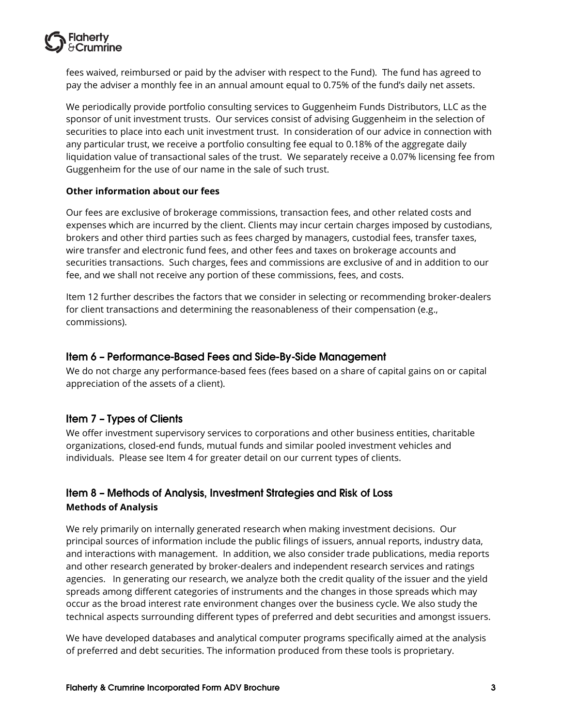

fees waived, reimbursed or paid by the adviser with respect to the Fund). The fund has agreed to pay the adviser a monthly fee in an annual amount equal to 0.75% of the fund's daily net assets.

We periodically provide portfolio consulting services to Guggenheim Funds Distributors, LLC as the sponsor of unit investment trusts. Our services consist of advising Guggenheim in the selection of securities to place into each unit investment trust. In consideration of our advice in connection with any particular trust, we receive a portfolio consulting fee equal to 0.18% of the aggregate daily liquidation value of transactional sales of the trust. We separately receive a 0.07% licensing fee from Guggenheim for the use of our name in the sale of such trust.

#### **Other information about our fees**

Our fees are exclusive of brokerage commissions, transaction fees, and other related costs and expenses which are incurred by the client. Clients may incur certain charges imposed by custodians, brokers and other third parties such as fees charged by managers, custodial fees, transfer taxes, wire transfer and electronic fund fees, and other fees and taxes on brokerage accounts and securities transactions. Such charges, fees and commissions are exclusive of and in addition to our fee, and we shall not receive any portion of these commissions, fees, and costs.

Item 12 further describes the factors that we consider in selecting or recommending broker-dealers for client transactions and determining the reasonableness of their compensation (e.g., commissions).

#### <span id="page-5-0"></span>Item 6 - Performance-Based Fees and Side-By-Side Management

We do not charge any performance-based fees (fees based on a share of capital gains on or capital appreciation of the assets of a client).

#### <span id="page-5-1"></span>Item 7 - Types of Clients

We offer investment supervisory services to corporations and other business entities, charitable organizations, closed-end funds, mutual funds and similar pooled investment vehicles and individuals. Please see Item 4 for greater detail on our current types of clients.

# <span id="page-5-2"></span>Item 8 – Methods of Analysis, Investment Strategies and Risk of Loss **Methods of Analysis**

We rely primarily on internally generated research when making investment decisions. Our principal sources of information include the public filings of issuers, annual reports, industry data, and interactions with management. In addition, we also consider trade publications, media reports and other research generated by broker-dealers and independent research services and ratings agencies. In generating our research, we analyze both the credit quality of the issuer and the yield spreads among different categories of instruments and the changes in those spreads which may occur as the broad interest rate environment changes over the business cycle. We also study the technical aspects surrounding different types of preferred and debt securities and amongst issuers.

We have developed databases and analytical computer programs specifically aimed at the analysis of preferred and debt securities. The information produced from these tools is proprietary.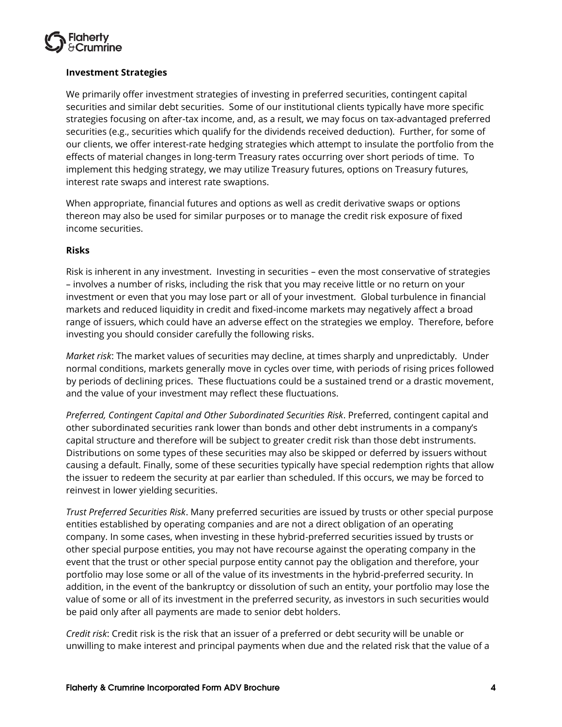

#### **Investment Strategies**

We primarily offer investment strategies of investing in preferred securities, contingent capital securities and similar debt securities. Some of our institutional clients typically have more specific strategies focusing on after-tax income, and, as a result, we may focus on tax-advantaged preferred securities (e.g., securities which qualify for the dividends received deduction). Further, for some of our clients, we offer interest-rate hedging strategies which attempt to insulate the portfolio from the effects of material changes in long-term Treasury rates occurring over short periods of time. To implement this hedging strategy, we may utilize Treasury futures, options on Treasury futures, interest rate swaps and interest rate swaptions.

When appropriate, financial futures and options as well as credit derivative swaps or options thereon may also be used for similar purposes or to manage the credit risk exposure of fixed income securities.

#### **Risks**

Risk is inherent in any investment. Investing in securities – even the most conservative of strategies – involves a number of risks, including the risk that you may receive little or no return on your investment or even that you may lose part or all of your investment. Global turbulence in financial markets and reduced liquidity in credit and fixed-income markets may negatively affect a broad range of issuers, which could have an adverse effect on the strategies we employ. Therefore, before investing you should consider carefully the following risks.

*Market risk*: The market values of securities may decline, at times sharply and unpredictably. Under normal conditions, markets generally move in cycles over time, with periods of rising prices followed by periods of declining prices. These fluctuations could be a sustained trend or a drastic movement, and the value of your investment may reflect these fluctuations.

*Preferred, Contingent Capital and Other Subordinated Securities Risk*. Preferred, contingent capital and other subordinated securities rank lower than bonds and other debt instruments in a company's capital structure and therefore will be subject to greater credit risk than those debt instruments. Distributions on some types of these securities may also be skipped or deferred by issuers without causing a default. Finally, some of these securities typically have special redemption rights that allow the issuer to redeem the security at par earlier than scheduled. If this occurs, we may be forced to reinvest in lower yielding securities.

*Trust Preferred Securities Risk*. Many preferred securities are issued by trusts or other special purpose entities established by operating companies and are not a direct obligation of an operating company. In some cases, when investing in these hybrid-preferred securities issued by trusts or other special purpose entities, you may not have recourse against the operating company in the event that the trust or other special purpose entity cannot pay the obligation and therefore, your portfolio may lose some or all of the value of its investments in the hybrid-preferred security. In addition, in the event of the bankruptcy or dissolution of such an entity, your portfolio may lose the value of some or all of its investment in the preferred security, as investors in such securities would be paid only after all payments are made to senior debt holders.

*Credit risk*: Credit risk is the risk that an issuer of a preferred or debt security will be unable or unwilling to make interest and principal payments when due and the related risk that the value of a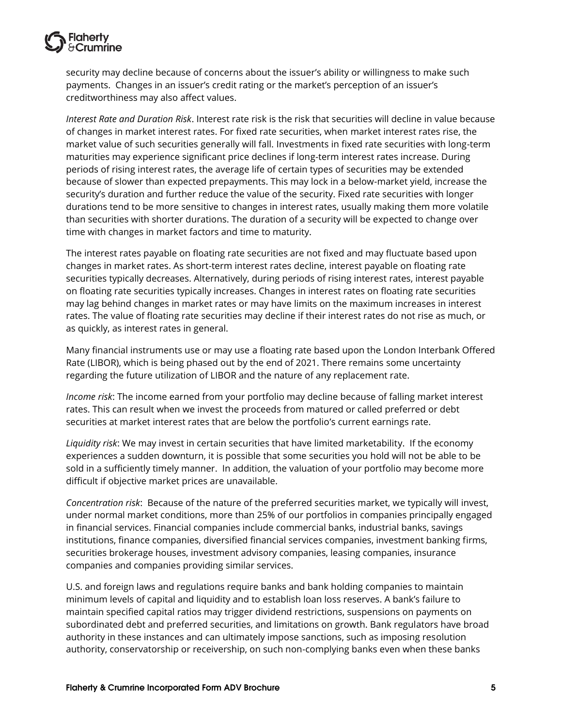

security may decline because of concerns about the issuer's ability or willingness to make such payments. Changes in an issuer's credit rating or the market's perception of an issuer's creditworthiness may also affect values.

*Interest Rate and Duration Risk*. Interest rate risk is the risk that securities will decline in value because of changes in market interest rates. For fixed rate securities, when market interest rates rise, the market value of such securities generally will fall. Investments in fixed rate securities with long-term maturities may experience significant price declines if long-term interest rates increase. During periods of rising interest rates, the average life of certain types of securities may be extended because of slower than expected prepayments. This may lock in a below-market yield, increase the security's duration and further reduce the value of the security. Fixed rate securities with longer durations tend to be more sensitive to changes in interest rates, usually making them more volatile than securities with shorter durations. The duration of a security will be expected to change over time with changes in market factors and time to maturity.

The interest rates payable on floating rate securities are not fixed and may fluctuate based upon changes in market rates. As short-term interest rates decline, interest payable on floating rate securities typically decreases. Alternatively, during periods of rising interest rates, interest payable on floating rate securities typically increases. Changes in interest rates on floating rate securities may lag behind changes in market rates or may have limits on the maximum increases in interest rates. The value of floating rate securities may decline if their interest rates do not rise as much, or as quickly, as interest rates in general.

Many financial instruments use or may use a floating rate based upon the London Interbank Offered Rate (LIBOR), which is being phased out by the end of 2021. There remains some uncertainty regarding the future utilization of LIBOR and the nature of any replacement rate.

*Income risk*: The income earned from your portfolio may decline because of falling market interest rates. This can result when we invest the proceeds from matured or called preferred or debt securities at market interest rates that are below the portfolio's current earnings rate.

*Liquidity risk*: We may invest in certain securities that have limited marketability. If the economy experiences a sudden downturn, it is possible that some securities you hold will not be able to be sold in a sufficiently timely manner. In addition, the valuation of your portfolio may become more difficult if objective market prices are unavailable.

*Concentration risk*: Because of the nature of the preferred securities market, we typically will invest, under normal market conditions, more than 25% of our portfolios in companies principally engaged in financial services. Financial companies include commercial banks, industrial banks, savings institutions, finance companies, diversified financial services companies, investment banking firms, securities brokerage houses, investment advisory companies, leasing companies, insurance companies and companies providing similar services.

U.S. and foreign laws and regulations require banks and bank holding companies to maintain minimum levels of capital and liquidity and to establish loan loss reserves. A bank's failure to maintain specified capital ratios may trigger dividend restrictions, suspensions on payments on subordinated debt and preferred securities, and limitations on growth. Bank regulators have broad authority in these instances and can ultimately impose sanctions, such as imposing resolution authority, conservatorship or receivership, on such non-complying banks even when these banks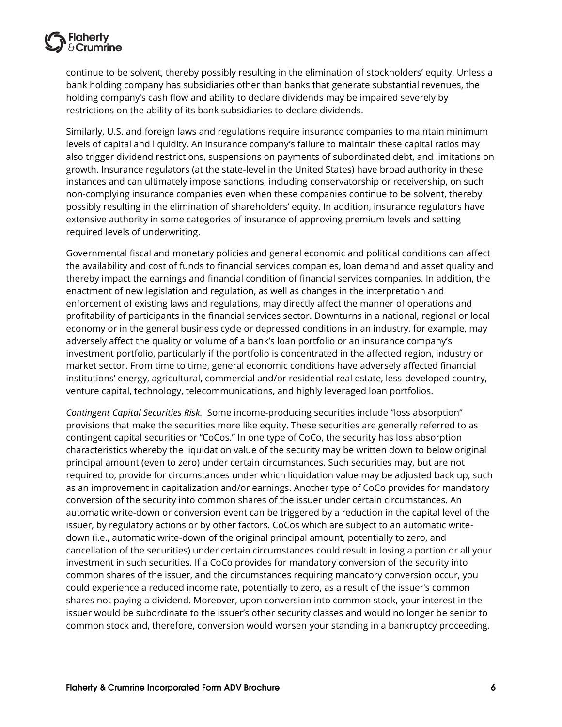

continue to be solvent, thereby possibly resulting in the elimination of stockholders' equity. Unless a bank holding company has subsidiaries other than banks that generate substantial revenues, the holding company's cash flow and ability to declare dividends may be impaired severely by restrictions on the ability of its bank subsidiaries to declare dividends.

Similarly, U.S. and foreign laws and regulations require insurance companies to maintain minimum levels of capital and liquidity. An insurance company's failure to maintain these capital ratios may also trigger dividend restrictions, suspensions on payments of subordinated debt, and limitations on growth. Insurance regulators (at the state-level in the United States) have broad authority in these instances and can ultimately impose sanctions, including conservatorship or receivership, on such non-complying insurance companies even when these companies continue to be solvent, thereby possibly resulting in the elimination of shareholders' equity. In addition, insurance regulators have extensive authority in some categories of insurance of approving premium levels and setting required levels of underwriting.

Governmental fiscal and monetary policies and general economic and political conditions can affect the availability and cost of funds to financial services companies, loan demand and asset quality and thereby impact the earnings and financial condition of financial services companies. In addition, the enactment of new legislation and regulation, as well as changes in the interpretation and enforcement of existing laws and regulations, may directly affect the manner of operations and profitability of participants in the financial services sector. Downturns in a national, regional or local economy or in the general business cycle or depressed conditions in an industry, for example, may adversely affect the quality or volume of a bank's loan portfolio or an insurance company's investment portfolio, particularly if the portfolio is concentrated in the affected region, industry or market sector. From time to time, general economic conditions have adversely affected financial institutions' energy, agricultural, commercial and/or residential real estate, less-developed country, venture capital, technology, telecommunications, and highly leveraged loan portfolios.

*Contingent Capital Securities Risk.* Some income-producing securities include "loss absorption" provisions that make the securities more like equity. These securities are generally referred to as contingent capital securities or "CoCos." In one type of CoCo, the security has loss absorption characteristics whereby the liquidation value of the security may be written down to below original principal amount (even to zero) under certain circumstances. Such securities may, but are not required to, provide for circumstances under which liquidation value may be adjusted back up, such as an improvement in capitalization and/or earnings. Another type of CoCo provides for mandatory conversion of the security into common shares of the issuer under certain circumstances. An automatic write-down or conversion event can be triggered by a reduction in the capital level of the issuer, by regulatory actions or by other factors. CoCos which are subject to an automatic writedown (i.e., automatic write-down of the original principal amount, potentially to zero, and cancellation of the securities) under certain circumstances could result in losing a portion or all your investment in such securities. If a CoCo provides for mandatory conversion of the security into common shares of the issuer, and the circumstances requiring mandatory conversion occur, you could experience a reduced income rate, potentially to zero, as a result of the issuer's common shares not paying a dividend. Moreover, upon conversion into common stock, your interest in the issuer would be subordinate to the issuer's other security classes and would no longer be senior to common stock and, therefore, conversion would worsen your standing in a bankruptcy proceeding.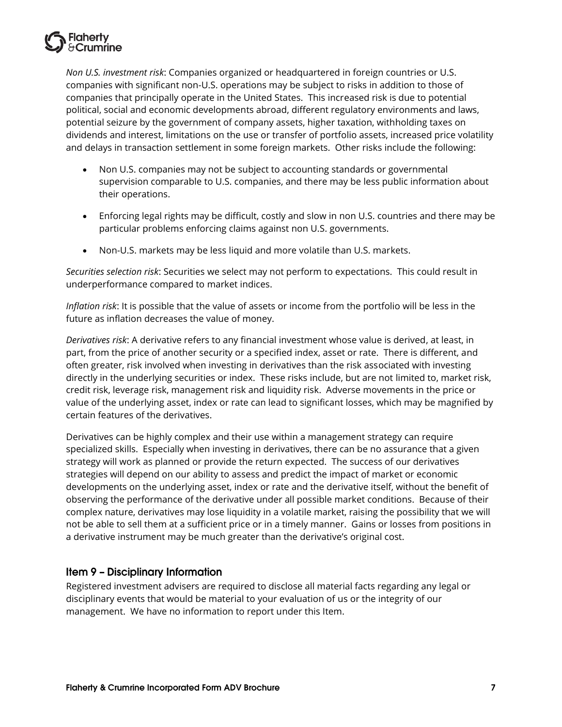

*Non U.S. investment risk*: Companies organized or headquartered in foreign countries or U.S. companies with significant non-U.S. operations may be subject to risks in addition to those of companies that principally operate in the United States. This increased risk is due to potential political, social and economic developments abroad, different regulatory environments and laws, potential seizure by the government of company assets, higher taxation, withholding taxes on dividends and interest, limitations on the use or transfer of portfolio assets, increased price volatility and delays in transaction settlement in some foreign markets. Other risks include the following:

- Non U.S. companies may not be subject to accounting standards or governmental supervision comparable to U.S. companies, and there may be less public information about their operations.
- Enforcing legal rights may be difficult, costly and slow in non U.S. countries and there may be particular problems enforcing claims against non U.S. governments.
- Non-U.S. markets may be less liquid and more volatile than U.S. markets.

*Securities selection risk*: Securities we select may not perform to expectations. This could result in underperformance compared to market indices.

*Inflation risk*: It is possible that the value of assets or income from the portfolio will be less in the future as inflation decreases the value of money.

*Derivatives risk*: A derivative refers to any financial investment whose value is derived, at least, in part, from the price of another security or a specified index, asset or rate. There is different, and often greater, risk involved when investing in derivatives than the risk associated with investing directly in the underlying securities or index. These risks include, but are not limited to, market risk, credit risk, leverage risk, management risk and liquidity risk. Adverse movements in the price or value of the underlying asset, index or rate can lead to significant losses, which may be magnified by certain features of the derivatives.

Derivatives can be highly complex and their use within a management strategy can require specialized skills. Especially when investing in derivatives, there can be no assurance that a given strategy will work as planned or provide the return expected. The success of our derivatives strategies will depend on our ability to assess and predict the impact of market or economic developments on the underlying asset, index or rate and the derivative itself, without the benefit of observing the performance of the derivative under all possible market conditions. Because of their complex nature, derivatives may lose liquidity in a volatile market, raising the possibility that we will not be able to sell them at a sufficient price or in a timely manner. Gains or losses from positions in a derivative instrument may be much greater than the derivative's original cost.

# <span id="page-9-0"></span>**Item 9 - Disciplinary Information**

Registered investment advisers are required to disclose all material facts regarding any legal or disciplinary events that would be material to your evaluation of us or the integrity of our management. We have no information to report under this Item.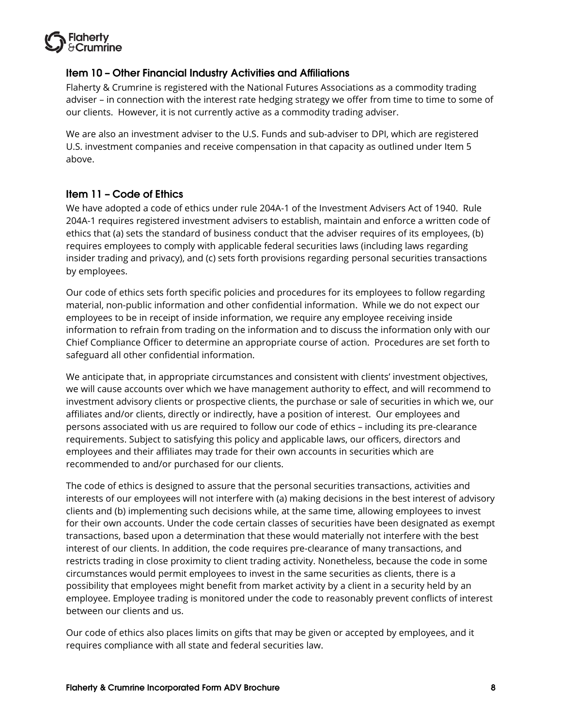

# <span id="page-10-0"></span>Item 10 - Other Financial Industry Activities and Affiliations

Flaherty & Crumrine is registered with the National Futures Associations as a commodity trading adviser – in connection with the interest rate hedging strategy we offer from time to time to some of our clients. However, it is not currently active as a commodity trading adviser.

We are also an investment adviser to the U.S. Funds and sub-adviser to DPI, which are registered U.S. investment companies and receive compensation in that capacity as outlined under Item 5 above.

# <span id="page-10-1"></span>Item 11 - Code of Ethics

We have adopted a code of ethics under rule 204A-1 of the Investment Advisers Act of 1940. Rule 204A-1 requires registered investment advisers to establish, maintain and enforce a written code of ethics that (a) sets the standard of business conduct that the adviser requires of its employees, (b) requires employees to comply with applicable federal securities laws (including laws regarding insider trading and privacy), and (c) sets forth provisions regarding personal securities transactions by employees.

Our code of ethics sets forth specific policies and procedures for its employees to follow regarding material, non-public information and other confidential information. While we do not expect our employees to be in receipt of inside information, we require any employee receiving inside information to refrain from trading on the information and to discuss the information only with our Chief Compliance Officer to determine an appropriate course of action. Procedures are set forth to safeguard all other confidential information.

We anticipate that, in appropriate circumstances and consistent with clients' investment objectives, we will cause accounts over which we have management authority to effect, and will recommend to investment advisory clients or prospective clients, the purchase or sale of securities in which we, our affiliates and/or clients, directly or indirectly, have a position of interest. Our employees and persons associated with us are required to follow our code of ethics – including its pre-clearance requirements. Subject to satisfying this policy and applicable laws, our officers, directors and employees and their affiliates may trade for their own accounts in securities which are recommended to and/or purchased for our clients.

The code of ethics is designed to assure that the personal securities transactions, activities and interests of our employees will not interfere with (a) making decisions in the best interest of advisory clients and (b) implementing such decisions while, at the same time, allowing employees to invest for their own accounts. Under the code certain classes of securities have been designated as exempt transactions, based upon a determination that these would materially not interfere with the best interest of our clients. In addition, the code requires pre-clearance of many transactions, and restricts trading in close proximity to client trading activity. Nonetheless, because the code in some circumstances would permit employees to invest in the same securities as clients, there is a possibility that employees might benefit from market activity by a client in a security held by an employee. Employee trading is monitored under the code to reasonably prevent conflicts of interest between our clients and us.

Our code of ethics also places limits on gifts that may be given or accepted by employees, and it requires compliance with all state and federal securities law.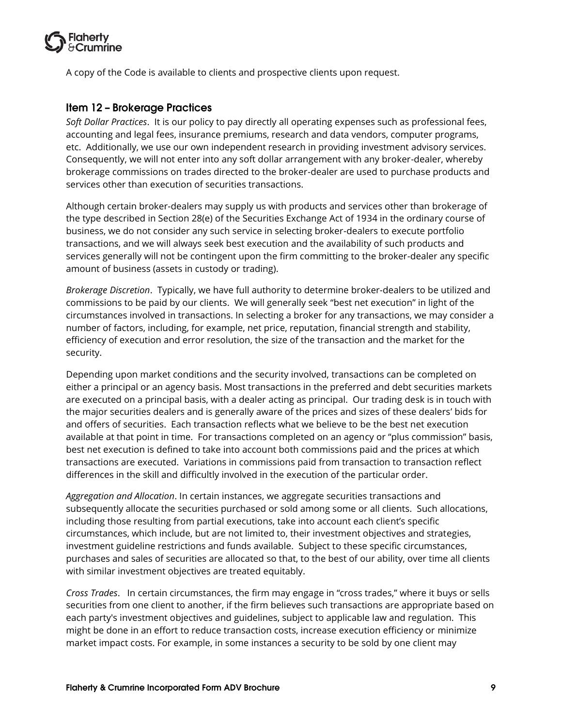

A copy of the Code is available to clients and prospective clients upon request.

# <span id="page-11-0"></span>**Item 12 - Brokerage Practices**

*Soft Dollar Practices*. It is our policy to pay directly all operating expenses such as professional fees, accounting and legal fees, insurance premiums, research and data vendors, computer programs, etc. Additionally, we use our own independent research in providing investment advisory services. Consequently, we will not enter into any soft dollar arrangement with any broker-dealer, whereby brokerage commissions on trades directed to the broker-dealer are used to purchase products and services other than execution of securities transactions.

Although certain broker-dealers may supply us with products and services other than brokerage of the type described in Section 28(e) of the Securities Exchange Act of 1934 in the ordinary course of business, we do not consider any such service in selecting broker-dealers to execute portfolio transactions, and we will always seek best execution and the availability of such products and services generally will not be contingent upon the firm committing to the broker-dealer any specific amount of business (assets in custody or trading).

*Brokerage Discretion*. Typically, we have full authority to determine broker-dealers to be utilized and commissions to be paid by our clients. We will generally seek "best net execution" in light of the circumstances involved in transactions. In selecting a broker for any transactions, we may consider a number of factors, including, for example, net price, reputation, financial strength and stability, efficiency of execution and error resolution, the size of the transaction and the market for the security.

Depending upon market conditions and the security involved, transactions can be completed on either a principal or an agency basis. Most transactions in the preferred and debt securities markets are executed on a principal basis, with a dealer acting as principal. Our trading desk is in touch with the major securities dealers and is generally aware of the prices and sizes of these dealers' bids for and offers of securities. Each transaction reflects what we believe to be the best net execution available at that point in time. For transactions completed on an agency or "plus commission" basis, best net execution is defined to take into account both commissions paid and the prices at which transactions are executed. Variations in commissions paid from transaction to transaction reflect differences in the skill and difficultly involved in the execution of the particular order.

*Aggregation and Allocation*. In certain instances, we aggregate securities transactions and subsequently allocate the securities purchased or sold among some or all clients. Such allocations, including those resulting from partial executions, take into account each client's specific circumstances, which include, but are not limited to, their investment objectives and strategies, investment guideline restrictions and funds available. Subject to these specific circumstances, purchases and sales of securities are allocated so that, to the best of our ability, over time all clients with similar investment objectives are treated equitably.

*Cross Trades*. In certain circumstances, the firm may engage in "cross trades," where it buys or sells securities from one client to another, if the firm believes such transactions are appropriate based on each party's investment objectives and guidelines, subject to applicable law and regulation. This might be done in an effort to reduce transaction costs, increase execution efficiency or minimize market impact costs. For example, in some instances a security to be sold by one client may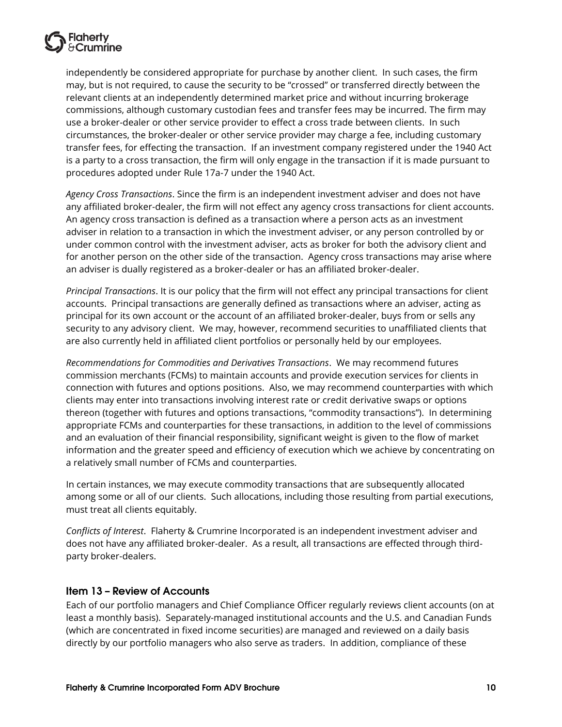

independently be considered appropriate for purchase by another client. In such cases, the firm may, but is not required, to cause the security to be "crossed" or transferred directly between the relevant clients at an independently determined market price and without incurring brokerage commissions, although customary custodian fees and transfer fees may be incurred. The firm may use a broker-dealer or other service provider to effect a cross trade between clients. In such circumstances, the broker-dealer or other service provider may charge a fee, including customary transfer fees, for effecting the transaction. If an investment company registered under the 1940 Act is a party to a cross transaction, the firm will only engage in the transaction if it is made pursuant to procedures adopted under Rule 17a-7 under the 1940 Act.

*Agency Cross Transactions*. Since the firm is an independent investment adviser and does not have any affiliated broker-dealer, the firm will not effect any agency cross transactions for client accounts. An agency cross transaction is defined as a transaction where a person acts as an investment adviser in relation to a transaction in which the investment adviser, or any person controlled by or under common control with the investment adviser, acts as broker for both the advisory client and for another person on the other side of the transaction. Agency cross transactions may arise where an adviser is dually registered as a broker-dealer or has an affiliated broker-dealer.

*Principal Transactions*. It is our policy that the firm will not effect any principal transactions for client accounts. Principal transactions are generally defined as transactions where an adviser, acting as principal for its own account or the account of an affiliated broker-dealer, buys from or sells any security to any advisory client. We may, however, recommend securities to unaffiliated clients that are also currently held in affiliated client portfolios or personally held by our employees.

*Recommendations for Commodities and Derivatives Transactions*. We may recommend futures commission merchants (FCMs) to maintain accounts and provide execution services for clients in connection with futures and options positions. Also, we may recommend counterparties with which clients may enter into transactions involving interest rate or credit derivative swaps or options thereon (together with futures and options transactions, "commodity transactions"). In determining appropriate FCMs and counterparties for these transactions, in addition to the level of commissions and an evaluation of their financial responsibility, significant weight is given to the flow of market information and the greater speed and efficiency of execution which we achieve by concentrating on a relatively small number of FCMs and counterparties.

In certain instances, we may execute commodity transactions that are subsequently allocated among some or all of our clients. Such allocations, including those resulting from partial executions, must treat all clients equitably.

*Conflicts of Interest*. Flaherty & Crumrine Incorporated is an independent investment adviser and does not have any affiliated broker-dealer. As a result, all transactions are effected through thirdparty broker-dealers.

#### <span id="page-12-0"></span>**Item 13 - Review of Accounts**

Each of our portfolio managers and Chief Compliance Officer regularly reviews client accounts (on at least a monthly basis). Separately-managed institutional accounts and the U.S. and Canadian Funds (which are concentrated in fixed income securities) are managed and reviewed on a daily basis directly by our portfolio managers who also serve as traders. In addition, compliance of these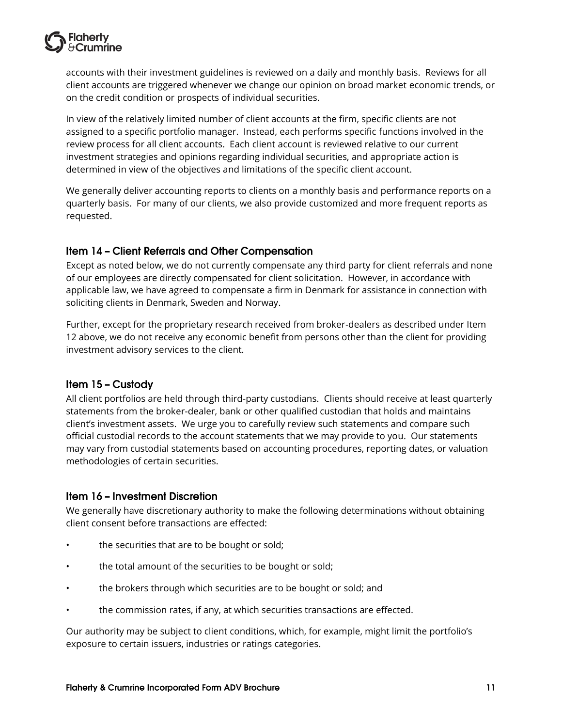

accounts with their investment guidelines is reviewed on a daily and monthly basis. Reviews for all client accounts are triggered whenever we change our opinion on broad market economic trends, or on the credit condition or prospects of individual securities.

In view of the relatively limited number of client accounts at the firm, specific clients are not assigned to a specific portfolio manager. Instead, each performs specific functions involved in the review process for all client accounts. Each client account is reviewed relative to our current investment strategies and opinions regarding individual securities, and appropriate action is determined in view of the objectives and limitations of the specific client account.

We generally deliver accounting reports to clients on a monthly basis and performance reports on a quarterly basis. For many of our clients, we also provide customized and more frequent reports as requested.

# <span id="page-13-0"></span>Item 14 - Client Referrals and Other Compensation

Except as noted below, we do not currently compensate any third party for client referrals and none of our employees are directly compensated for client solicitation. However, in accordance with applicable law, we have agreed to compensate a firm in Denmark for assistance in connection with soliciting clients in Denmark, Sweden and Norway.

Further, except for the proprietary research received from broker-dealers as described under Item 12 above, we do not receive any economic benefit from persons other than the client for providing investment advisory services to the client.

#### <span id="page-13-1"></span>Item 15 - Custody

All client portfolios are held through third-party custodians. Clients should receive at least quarterly statements from the broker-dealer, bank or other qualified custodian that holds and maintains client's investment assets. We urge you to carefully review such statements and compare such official custodial records to the account statements that we may provide to you. Our statements may vary from custodial statements based on accounting procedures, reporting dates, or valuation methodologies of certain securities.

#### <span id="page-13-2"></span>Item 16 - Investment Discretion

We generally have discretionary authority to make the following determinations without obtaining client consent before transactions are effected:

- the securities that are to be bought or sold;
- the total amount of the securities to be bought or sold;
- the brokers through which securities are to be bought or sold; and
- the commission rates, if any, at which securities transactions are effected.

Our authority may be subject to client conditions, which, for example, might limit the portfolio's exposure to certain issuers, industries or ratings categories.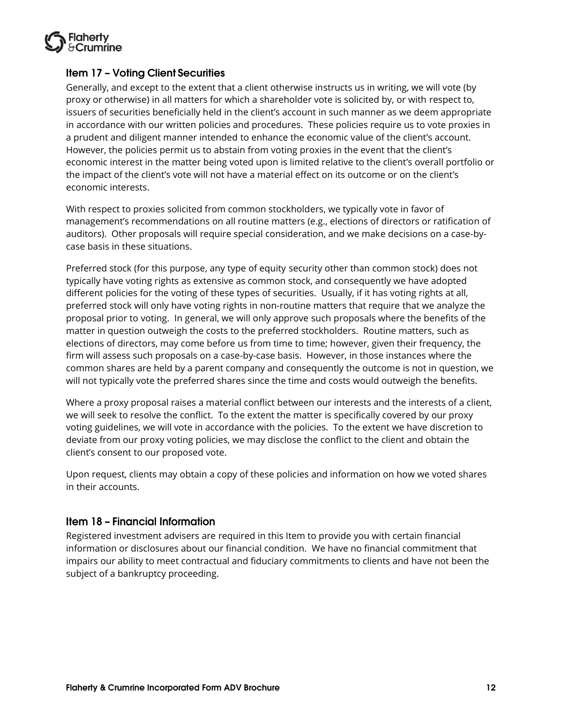

### <span id="page-14-0"></span>**Item 17 - Voting Client Securities**

Generally, and except to the extent that a client otherwise instructs us in writing, we will vote (by proxy or otherwise) in all matters for which a shareholder vote is solicited by, or with respect to, issuers of securities beneficially held in the client's account in such manner as we deem appropriate in accordance with our written policies and procedures. These policies require us to vote proxies in a prudent and diligent manner intended to enhance the economic value of the client's account. However, the policies permit us to abstain from voting proxies in the event that the client's economic interest in the matter being voted upon is limited relative to the client's overall portfolio or the impact of the client's vote will not have a material effect on its outcome or on the client's economic interests.

With respect to proxies solicited from common stockholders, we typically vote in favor of management's recommendations on all routine matters (e.g., elections of directors or ratification of auditors). Other proposals will require special consideration, and we make decisions on a case-bycase basis in these situations.

Preferred stock (for this purpose, any type of equity security other than common stock) does not typically have voting rights as extensive as common stock, and consequently we have adopted different policies for the voting of these types of securities. Usually, if it has voting rights at all, preferred stock will only have voting rights in non-routine matters that require that we analyze the proposal prior to voting. In general, we will only approve such proposals where the benefits of the matter in question outweigh the costs to the preferred stockholders. Routine matters, such as elections of directors, may come before us from time to time; however, given their frequency, the firm will assess such proposals on a case-by-case basis. However, in those instances where the common shares are held by a parent company and consequently the outcome is not in question, we will not typically vote the preferred shares since the time and costs would outweigh the benefits.

Where a proxy proposal raises a material conflict between our interests and the interests of a client, we will seek to resolve the conflict. To the extent the matter is specifically covered by our proxy voting guidelines, we will vote in accordance with the policies. To the extent we have discretion to deviate from our proxy voting policies, we may disclose the conflict to the client and obtain the client's consent to our proposed vote.

Upon request, clients may obtain a copy of these policies and information on how we voted shares in their accounts.

#### <span id="page-14-1"></span>**Item 18 - Financial Information**

Registered investment advisers are required in this Item to provide you with certain financial information or disclosures about our financial condition. We have no financial commitment that impairs our ability to meet contractual and fiduciary commitments to clients and have not been the subject of a bankruptcy proceeding.